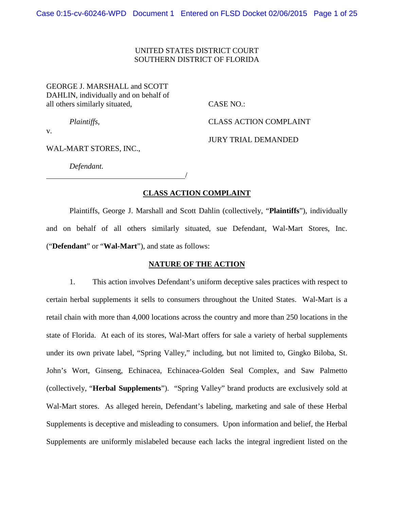### UNITED STATES DISTRICT COURT SOUTHERN DISTRICT OF FLORIDA

GEORGE J. MARSHALL and SCOTT DAHLIN, individually and on behalf of all others similarly situated, CASE NO.:

*Plaintiffs*, CLASS ACTION COMPLAINT

JURY TRIAL DEMANDED

v.

WAL-MART STORES, INC.,

*Defendant.*

 $\overline{\phantom{a}}$ 

### **CLASS ACTION COMPLAINT**

Plaintiffs, George J. Marshall and Scott Dahlin (collectively, "**Plaintiffs**"), individually and on behalf of all others similarly situated, sue Defendant, Wal-Mart Stores, Inc. ("**Defendant**" or "**Wal-Mart**"), and state as follows:

#### **NATURE OF THE ACTION**

1. This action involves Defendant's uniform deceptive sales practices with respect to certain herbal supplements it sells to consumers throughout the United States. Wal-Mart is a retail chain with more than 4,000 locations across the country and more than 250 locations in the state of Florida. At each of its stores, Wal-Mart offers for sale a variety of herbal supplements under its own private label, "Spring Valley," including, but not limited to, Gingko Biloba, St. John's Wort, Ginseng, Echinacea, Echinacea-Golden Seal Complex, and Saw Palmetto (collectively, "**Herbal Supplements**"). "Spring Valley" brand products are exclusively sold at Wal-Mart stores. As alleged herein, Defendant's labeling, marketing and sale of these Herbal Supplements is deceptive and misleading to consumers. Upon information and belief, the Herbal Supplements are uniformly mislabeled because each lacks the integral ingredient listed on the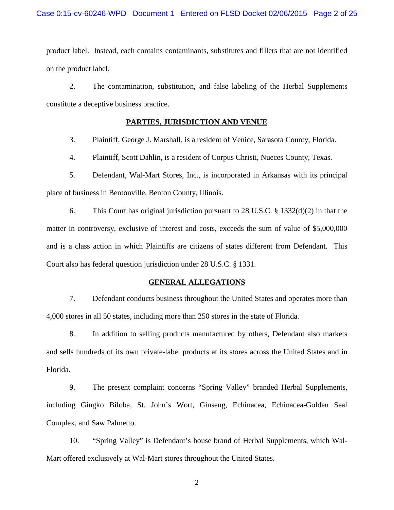product label. Instead, each contains contaminants, substitutes and fillers that are not identified on the product label.

2. The contamination, substitution, and false labeling of the Herbal Supplements constitute a deceptive business practice.

# **PARTIES, JURISDICTION AND VENUE**

3. Plaintiff, George J. Marshall, is a resident of Venice, Sarasota County, Florida.

4. Plaintiff, Scott Dahlin, is a resident of Corpus Christi, Nueces County, Texas.

5. Defendant, Wal-Mart Stores, Inc., is incorporated in Arkansas with its principal place of business in Bentonville, Benton County, Illinois.

6. This Court has original jurisdiction pursuant to 28 U.S.C. § 1332(d)(2) in that the matter in controversy, exclusive of interest and costs, exceeds the sum of value of \$5,000,000 and is a class action in which Plaintiffs are citizens of states different from Defendant. This Court also has federal question jurisdiction under 28 U.S.C. § 1331.

#### **GENERAL ALLEGATIONS**

7. Defendant conducts business throughout the United States and operates more than 4,000 stores in all 50 states, including more than 250 stores in the state of Florida.

8. In addition to selling products manufactured by others, Defendant also markets and sells hundreds of its own private-label products at its stores across the United States and in Florida.

9. The present complaint concerns "Spring Valley" branded Herbal Supplements, including Gingko Biloba, St. John's Wort, Ginseng, Echinacea, Echinacea-Golden Seal Complex, and Saw Palmetto.

10. "Spring Valley" is Defendant's house brand of Herbal Supplements, which Wal-Mart offered exclusively at Wal-Mart stores throughout the United States.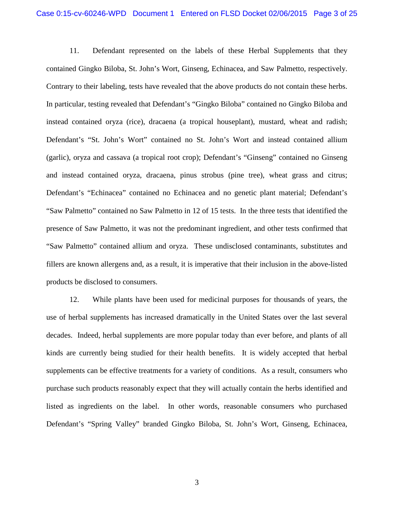11. Defendant represented on the labels of these Herbal Supplements that they contained Gingko Biloba, St. John's Wort, Ginseng, Echinacea, and Saw Palmetto, respectively. Contrary to their labeling, tests have revealed that the above products do not contain these herbs. In particular, testing revealed that Defendant's "Gingko Biloba" contained no Gingko Biloba and instead contained oryza (rice), dracaena (a tropical houseplant), mustard, wheat and radish; Defendant's "St. John's Wort" contained no St. John's Wort and instead contained allium (garlic), oryza and cassava (a tropical root crop); Defendant's "Ginseng" contained no Ginseng and instead contained oryza, dracaena, pinus strobus (pine tree), wheat grass and citrus; Defendant's "Echinacea" contained no Echinacea and no genetic plant material; Defendant's "Saw Palmetto" contained no Saw Palmetto in 12 of 15 tests. In the three tests that identified the presence of Saw Palmetto, it was not the predominant ingredient, and other tests confirmed that "Saw Palmetto" contained allium and oryza. These undisclosed contaminants, substitutes and fillers are known allergens and, as a result, it is imperative that their inclusion in the above-listed products be disclosed to consumers.

12. While plants have been used for medicinal purposes for thousands of years, the use of herbal supplements has increased dramatically in the United States over the last several decades. Indeed, herbal supplements are more popular today than ever before, and plants of all kinds are currently being studied for their health benefits. It is widely accepted that herbal supplements can be effective treatments for a variety of conditions. As a result, consumers who purchase such products reasonably expect that they will actually contain the herbs identified and listed as ingredients on the label. In other words, reasonable consumers who purchased Defendant's "Spring Valley" branded Gingko Biloba, St. John's Wort, Ginseng, Echinacea,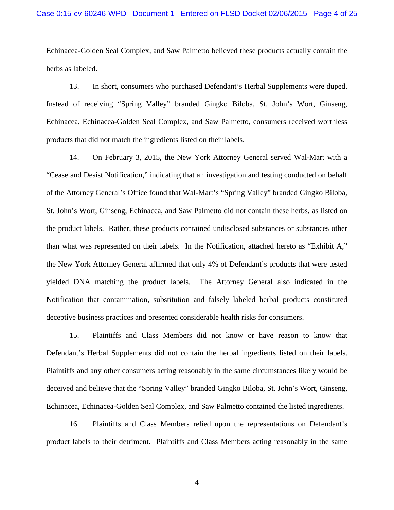Echinacea-Golden Seal Complex, and Saw Palmetto believed these products actually contain the herbs as labeled.

13. In short, consumers who purchased Defendant's Herbal Supplements were duped. Instead of receiving "Spring Valley" branded Gingko Biloba, St. John's Wort, Ginseng, Echinacea, Echinacea-Golden Seal Complex, and Saw Palmetto, consumers received worthless products that did not match the ingredients listed on their labels.

14. On February 3, 2015, the New York Attorney General served Wal-Mart with a "Cease and Desist Notification," indicating that an investigation and testing conducted on behalf of the Attorney General's Office found that Wal-Mart's "Spring Valley" branded Gingko Biloba, St. John's Wort, Ginseng, Echinacea, and Saw Palmetto did not contain these herbs, as listed on the product labels. Rather, these products contained undisclosed substances or substances other than what was represented on their labels. In the Notification, attached hereto as "Exhibit A," the New York Attorney General affirmed that only 4% of Defendant's products that were tested yielded DNA matching the product labels. The Attorney General also indicated in the Notification that contamination, substitution and falsely labeled herbal products constituted deceptive business practices and presented considerable health risks for consumers.

15. Plaintiffs and Class Members did not know or have reason to know that Defendant's Herbal Supplements did not contain the herbal ingredients listed on their labels. Plaintiffs and any other consumers acting reasonably in the same circumstances likely would be deceived and believe that the "Spring Valley" branded Gingko Biloba, St. John's Wort, Ginseng, Echinacea, Echinacea-Golden Seal Complex, and Saw Palmetto contained the listed ingredients.

16. Plaintiffs and Class Members relied upon the representations on Defendant's product labels to their detriment. Plaintiffs and Class Members acting reasonably in the same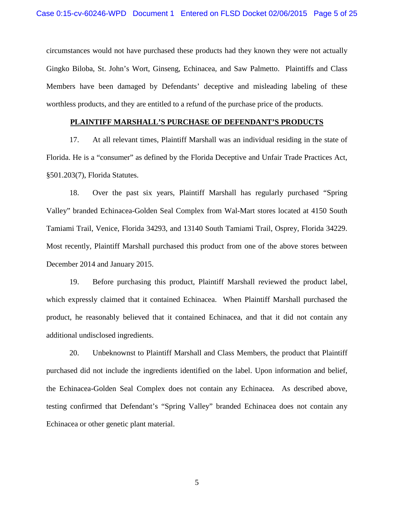circumstances would not have purchased these products had they known they were not actually Gingko Biloba, St. John's Wort, Ginseng, Echinacea, and Saw Palmetto. Plaintiffs and Class Members have been damaged by Defendants' deceptive and misleading labeling of these worthless products, and they are entitled to a refund of the purchase price of the products.

### **PLAINTIFF MARSHALL'S PURCHASE OF DEFENDANT'S PRODUCTS**

17. At all relevant times, Plaintiff Marshall was an individual residing in the state of Florida. He is a "consumer" as defined by the Florida Deceptive and Unfair Trade Practices Act, §501.203(7), Florida Statutes.

18. Over the past six years, Plaintiff Marshall has regularly purchased "Spring Valley" branded Echinacea-Golden Seal Complex from Wal-Mart stores located at 4150 South Tamiami Trail, Venice, Florida 34293, and 13140 South Tamiami Trail, Osprey, Florida 34229. Most recently, Plaintiff Marshall purchased this product from one of the above stores between December 2014 and January 2015.

19. Before purchasing this product, Plaintiff Marshall reviewed the product label, which expressly claimed that it contained Echinacea. When Plaintiff Marshall purchased the product, he reasonably believed that it contained Echinacea, and that it did not contain any additional undisclosed ingredients.

20. Unbeknownst to Plaintiff Marshall and Class Members, the product that Plaintiff purchased did not include the ingredients identified on the label. Upon information and belief, the Echinacea-Golden Seal Complex does not contain any Echinacea. As described above, testing confirmed that Defendant's "Spring Valley" branded Echinacea does not contain any Echinacea or other genetic plant material.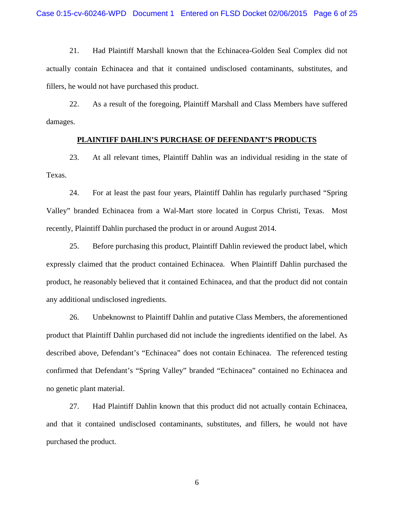21. Had Plaintiff Marshall known that the Echinacea-Golden Seal Complex did not actually contain Echinacea and that it contained undisclosed contaminants, substitutes, and fillers, he would not have purchased this product.

22. As a result of the foregoing, Plaintiff Marshall and Class Members have suffered damages.

#### **PLAINTIFF DAHLIN'S PURCHASE OF DEFENDANT'S PRODUCTS**

23. At all relevant times, Plaintiff Dahlin was an individual residing in the state of Texas.

24. For at least the past four years, Plaintiff Dahlin has regularly purchased "Spring Valley" branded Echinacea from a Wal-Mart store located in Corpus Christi, Texas. Most recently, Plaintiff Dahlin purchased the product in or around August 2014.

25. Before purchasing this product, Plaintiff Dahlin reviewed the product label, which expressly claimed that the product contained Echinacea. When Plaintiff Dahlin purchased the product, he reasonably believed that it contained Echinacea, and that the product did not contain any additional undisclosed ingredients.

26. Unbeknownst to Plaintiff Dahlin and putative Class Members, the aforementioned product that Plaintiff Dahlin purchased did not include the ingredients identified on the label. As described above, Defendant's "Echinacea" does not contain Echinacea. The referenced testing confirmed that Defendant's "Spring Valley" branded "Echinacea" contained no Echinacea and no genetic plant material.

27. Had Plaintiff Dahlin known that this product did not actually contain Echinacea, and that it contained undisclosed contaminants, substitutes, and fillers, he would not have purchased the product.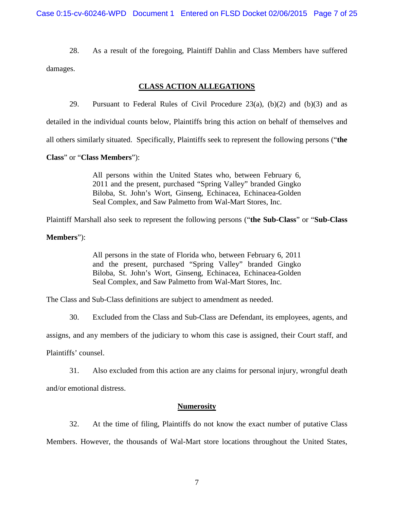28. As a result of the foregoing, Plaintiff Dahlin and Class Members have suffered damages.

# **CLASS ACTION ALLEGATIONS**

29. Pursuant to Federal Rules of Civil Procedure  $23(a)$ ,  $(b)(2)$  and  $(b)(3)$  and as

detailed in the individual counts below, Plaintiffs bring this action on behalf of themselves and

all others similarly situated. Specifically, Plaintiffs seek to represent the following persons ("**the** 

**Class**" or "**Class Members**"):

All persons within the United States who, between February 6, 2011 and the present, purchased "Spring Valley" branded Gingko Biloba, St. John's Wort, Ginseng, Echinacea, Echinacea-Golden Seal Complex, and Saw Palmetto from Wal-Mart Stores, Inc.

Plaintiff Marshall also seek to represent the following persons ("**the Sub-Class**" or "**Sub-Class** 

### **Members**"):

All persons in the state of Florida who, between February 6, 2011 and the present, purchased "Spring Valley" branded Gingko Biloba, St. John's Wort, Ginseng, Echinacea, Echinacea-Golden Seal Complex, and Saw Palmetto from Wal-Mart Stores, Inc.

The Class and Sub-Class definitions are subject to amendment as needed.

30. Excluded from the Class and Sub-Class are Defendant, its employees, agents, and

assigns, and any members of the judiciary to whom this case is assigned, their Court staff, and

Plaintiffs' counsel.

31. Also excluded from this action are any claims for personal injury, wrongful death and/or emotional distress.

#### **Numerosity**

32. At the time of filing, Plaintiffs do not know the exact number of putative Class Members. However, the thousands of Wal-Mart store locations throughout the United States,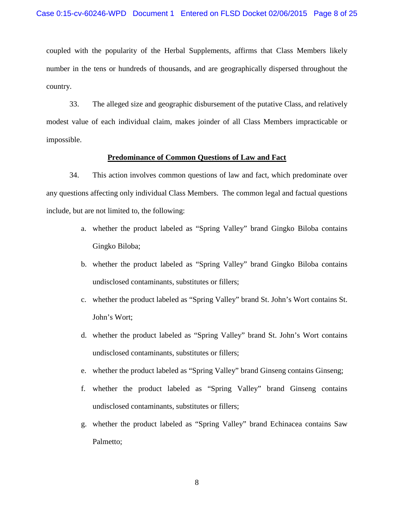coupled with the popularity of the Herbal Supplements, affirms that Class Members likely number in the tens or hundreds of thousands, and are geographically dispersed throughout the country.

33. The alleged size and geographic disbursement of the putative Class, and relatively modest value of each individual claim, makes joinder of all Class Members impracticable or impossible.

#### **Predominance of Common Questions of Law and Fact**

34. This action involves common questions of law and fact, which predominate over any questions affecting only individual Class Members. The common legal and factual questions include, but are not limited to, the following:

- a. whether the product labeled as "Spring Valley" brand Gingko Biloba contains Gingko Biloba;
- b. whether the product labeled as "Spring Valley" brand Gingko Biloba contains undisclosed contaminants, substitutes or fillers;
- c. whether the product labeled as "Spring Valley" brand St. John's Wort contains St. John's Wort;
- d. whether the product labeled as "Spring Valley" brand St. John's Wort contains undisclosed contaminants, substitutes or fillers;
- e. whether the product labeled as "Spring Valley" brand Ginseng contains Ginseng;
- f. whether the product labeled as "Spring Valley" brand Ginseng contains undisclosed contaminants, substitutes or fillers;
- g. whether the product labeled as "Spring Valley" brand Echinacea contains Saw Palmetto;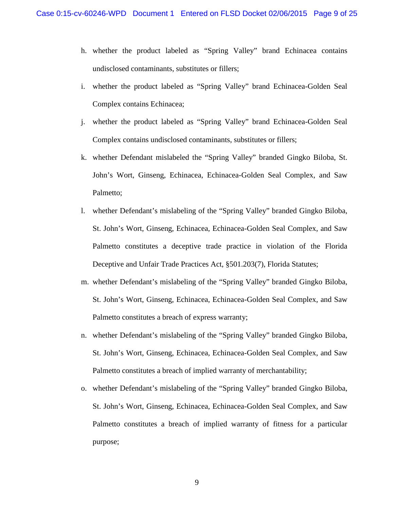- h. whether the product labeled as "Spring Valley" brand Echinacea contains undisclosed contaminants, substitutes or fillers;
- i. whether the product labeled as "Spring Valley" brand Echinacea-Golden Seal Complex contains Echinacea;
- j. whether the product labeled as "Spring Valley" brand Echinacea-Golden Seal Complex contains undisclosed contaminants, substitutes or fillers;
- k. whether Defendant mislabeled the "Spring Valley" branded Gingko Biloba, St. John's Wort, Ginseng, Echinacea, Echinacea-Golden Seal Complex, and Saw Palmetto;
- l. whether Defendant's mislabeling of the "Spring Valley" branded Gingko Biloba, St. John's Wort, Ginseng, Echinacea, Echinacea-Golden Seal Complex, and Saw Palmetto constitutes a deceptive trade practice in violation of the Florida Deceptive and Unfair Trade Practices Act, §501.203(7), Florida Statutes;
- m. whether Defendant's mislabeling of the "Spring Valley" branded Gingko Biloba, St. John's Wort, Ginseng, Echinacea, Echinacea-Golden Seal Complex, and Saw Palmetto constitutes a breach of express warranty;
- n. whether Defendant's mislabeling of the "Spring Valley" branded Gingko Biloba, St. John's Wort, Ginseng, Echinacea, Echinacea-Golden Seal Complex, and Saw Palmetto constitutes a breach of implied warranty of merchantability;
- o. whether Defendant's mislabeling of the "Spring Valley" branded Gingko Biloba, St. John's Wort, Ginseng, Echinacea, Echinacea-Golden Seal Complex, and Saw Palmetto constitutes a breach of implied warranty of fitness for a particular purpose;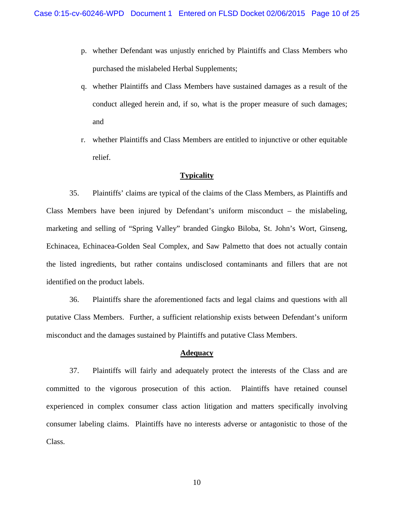- p. whether Defendant was unjustly enriched by Plaintiffs and Class Members who purchased the mislabeled Herbal Supplements;
- q. whether Plaintiffs and Class Members have sustained damages as a result of the conduct alleged herein and, if so, what is the proper measure of such damages; and
- r. whether Plaintiffs and Class Members are entitled to injunctive or other equitable relief.

### **Typicality**

35. Plaintiffs' claims are typical of the claims of the Class Members, as Plaintiffs and Class Members have been injured by Defendant's uniform misconduct – the mislabeling, marketing and selling of "Spring Valley" branded Gingko Biloba, St. John's Wort, Ginseng, Echinacea, Echinacea-Golden Seal Complex, and Saw Palmetto that does not actually contain the listed ingredients, but rather contains undisclosed contaminants and fillers that are not identified on the product labels.

36. Plaintiffs share the aforementioned facts and legal claims and questions with all putative Class Members. Further, a sufficient relationship exists between Defendant's uniform misconduct and the damages sustained by Plaintiffs and putative Class Members.

#### **Adequacy**

37. Plaintiffs will fairly and adequately protect the interests of the Class and are committed to the vigorous prosecution of this action. Plaintiffs have retained counsel experienced in complex consumer class action litigation and matters specifically involving consumer labeling claims. Plaintiffs have no interests adverse or antagonistic to those of the Class.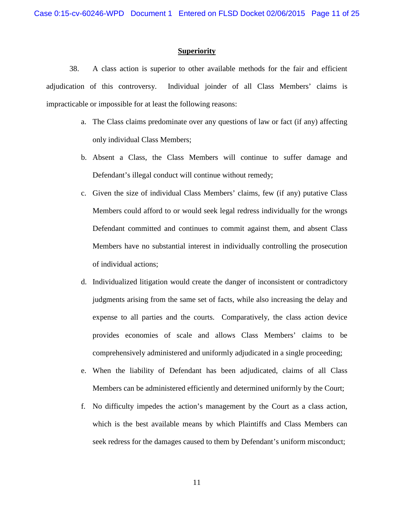#### **Superiority**

38. A class action is superior to other available methods for the fair and efficient adjudication of this controversy. Individual joinder of all Class Members' claims is impracticable or impossible for at least the following reasons:

- a. The Class claims predominate over any questions of law or fact (if any) affecting only individual Class Members;
- b. Absent a Class, the Class Members will continue to suffer damage and Defendant's illegal conduct will continue without remedy;
- c. Given the size of individual Class Members' claims, few (if any) putative Class Members could afford to or would seek legal redress individually for the wrongs Defendant committed and continues to commit against them, and absent Class Members have no substantial interest in individually controlling the prosecution of individual actions;
- d. Individualized litigation would create the danger of inconsistent or contradictory judgments arising from the same set of facts, while also increasing the delay and expense to all parties and the courts. Comparatively, the class action device provides economies of scale and allows Class Members' claims to be comprehensively administered and uniformly adjudicated in a single proceeding;
- e. When the liability of Defendant has been adjudicated, claims of all Class Members can be administered efficiently and determined uniformly by the Court;
- f. No difficulty impedes the action's management by the Court as a class action, which is the best available means by which Plaintiffs and Class Members can seek redress for the damages caused to them by Defendant's uniform misconduct;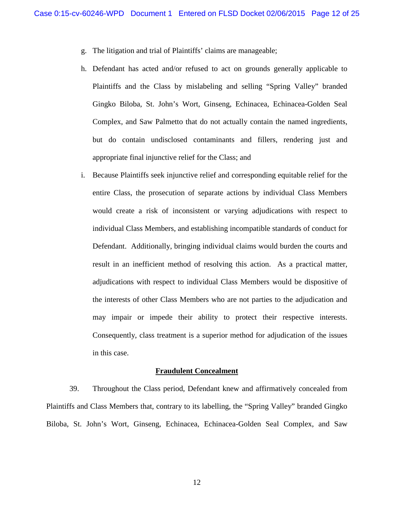- g. The litigation and trial of Plaintiffs' claims are manageable;
- h. Defendant has acted and/or refused to act on grounds generally applicable to Plaintiffs and the Class by mislabeling and selling "Spring Valley" branded Gingko Biloba, St. John's Wort, Ginseng, Echinacea, Echinacea-Golden Seal Complex, and Saw Palmetto that do not actually contain the named ingredients, but do contain undisclosed contaminants and fillers, rendering just and appropriate final injunctive relief for the Class; and
- i. Because Plaintiffs seek injunctive relief and corresponding equitable relief for the entire Class, the prosecution of separate actions by individual Class Members would create a risk of inconsistent or varying adjudications with respect to individual Class Members, and establishing incompatible standards of conduct for Defendant. Additionally, bringing individual claims would burden the courts and result in an inefficient method of resolving this action. As a practical matter, adjudications with respect to individual Class Members would be dispositive of the interests of other Class Members who are not parties to the adjudication and may impair or impede their ability to protect their respective interests. Consequently, class treatment is a superior method for adjudication of the issues in this case.

#### **Fraudulent Concealment**

39. Throughout the Class period, Defendant knew and affirmatively concealed from Plaintiffs and Class Members that, contrary to its labelling, the "Spring Valley" branded Gingko Biloba, St. John's Wort, Ginseng, Echinacea, Echinacea-Golden Seal Complex, and Saw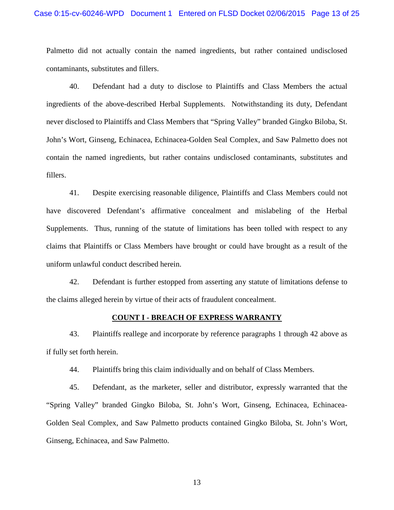#### Case 0:15-cv-60246-WPD Document 1 Entered on FLSD Docket 02/06/2015 Page 13 of 25

Palmetto did not actually contain the named ingredients, but rather contained undisclosed contaminants, substitutes and fillers.

40. Defendant had a duty to disclose to Plaintiffs and Class Members the actual ingredients of the above-described Herbal Supplements. Notwithstanding its duty, Defendant never disclosed to Plaintiffs and Class Members that "Spring Valley" branded Gingko Biloba, St. John's Wort, Ginseng, Echinacea, Echinacea-Golden Seal Complex, and Saw Palmetto does not contain the named ingredients, but rather contains undisclosed contaminants, substitutes and fillers.

41. Despite exercising reasonable diligence, Plaintiffs and Class Members could not have discovered Defendant's affirmative concealment and mislabeling of the Herbal Supplements. Thus, running of the statute of limitations has been tolled with respect to any claims that Plaintiffs or Class Members have brought or could have brought as a result of the uniform unlawful conduct described herein.

42. Defendant is further estopped from asserting any statute of limitations defense to the claims alleged herein by virtue of their acts of fraudulent concealment.

#### **COUNT I - BREACH OF EXPRESS WARRANTY**

43. Plaintiffs reallege and incorporate by reference paragraphs 1 through 42 above as if fully set forth herein.

44. Plaintiffs bring this claim individually and on behalf of Class Members.

45. Defendant, as the marketer, seller and distributor, expressly warranted that the "Spring Valley" branded Gingko Biloba, St. John's Wort, Ginseng, Echinacea, Echinacea-Golden Seal Complex, and Saw Palmetto products contained Gingko Biloba, St. John's Wort, Ginseng, Echinacea, and Saw Palmetto.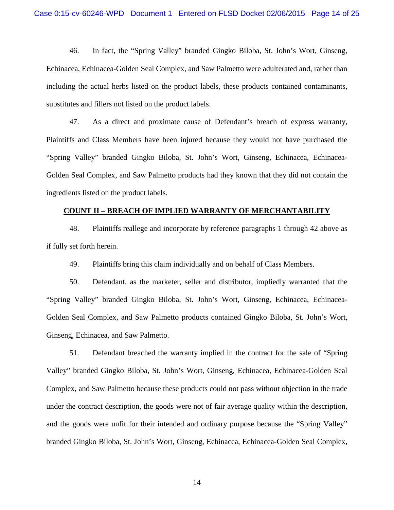46. In fact, the "Spring Valley" branded Gingko Biloba, St. John's Wort, Ginseng, Echinacea, Echinacea-Golden Seal Complex, and Saw Palmetto were adulterated and, rather than including the actual herbs listed on the product labels, these products contained contaminants, substitutes and fillers not listed on the product labels.

47. As a direct and proximate cause of Defendant's breach of express warranty, Plaintiffs and Class Members have been injured because they would not have purchased the "Spring Valley" branded Gingko Biloba, St. John's Wort, Ginseng, Echinacea, Echinacea-Golden Seal Complex, and Saw Palmetto products had they known that they did not contain the ingredients listed on the product labels.

#### **COUNT II – BREACH OF IMPLIED WARRANTY OF MERCHANTABILITY**

48. Plaintiffs reallege and incorporate by reference paragraphs 1 through 42 above as if fully set forth herein.

49. Plaintiffs bring this claim individually and on behalf of Class Members.

50. Defendant, as the marketer, seller and distributor, impliedly warranted that the "Spring Valley" branded Gingko Biloba, St. John's Wort, Ginseng, Echinacea, Echinacea-Golden Seal Complex, and Saw Palmetto products contained Gingko Biloba, St. John's Wort, Ginseng, Echinacea, and Saw Palmetto.

51. Defendant breached the warranty implied in the contract for the sale of "Spring Valley" branded Gingko Biloba, St. John's Wort, Ginseng, Echinacea, Echinacea-Golden Seal Complex, and Saw Palmetto because these products could not pass without objection in the trade under the contract description, the goods were not of fair average quality within the description, and the goods were unfit for their intended and ordinary purpose because the "Spring Valley" branded Gingko Biloba, St. John's Wort, Ginseng, Echinacea, Echinacea-Golden Seal Complex,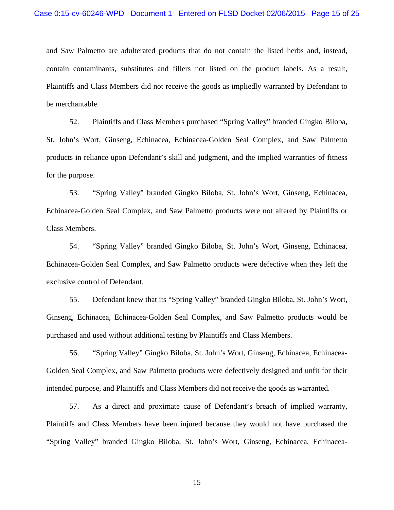and Saw Palmetto are adulterated products that do not contain the listed herbs and, instead, contain contaminants, substitutes and fillers not listed on the product labels. As a result, Plaintiffs and Class Members did not receive the goods as impliedly warranted by Defendant to be merchantable.

52. Plaintiffs and Class Members purchased "Spring Valley" branded Gingko Biloba, St. John's Wort, Ginseng, Echinacea, Echinacea-Golden Seal Complex, and Saw Palmetto products in reliance upon Defendant's skill and judgment, and the implied warranties of fitness for the purpose.

53. "Spring Valley" branded Gingko Biloba, St. John's Wort, Ginseng, Echinacea, Echinacea-Golden Seal Complex, and Saw Palmetto products were not altered by Plaintiffs or Class Members.

54. "Spring Valley" branded Gingko Biloba, St. John's Wort, Ginseng, Echinacea, Echinacea-Golden Seal Complex, and Saw Palmetto products were defective when they left the exclusive control of Defendant.

55. Defendant knew that its "Spring Valley" branded Gingko Biloba, St. John's Wort, Ginseng, Echinacea, Echinacea-Golden Seal Complex, and Saw Palmetto products would be purchased and used without additional testing by Plaintiffs and Class Members.

56. "Spring Valley" Gingko Biloba, St. John's Wort, Ginseng, Echinacea, Echinacea-Golden Seal Complex, and Saw Palmetto products were defectively designed and unfit for their intended purpose, and Plaintiffs and Class Members did not receive the goods as warranted.

57. As a direct and proximate cause of Defendant's breach of implied warranty, Plaintiffs and Class Members have been injured because they would not have purchased the "Spring Valley" branded Gingko Biloba, St. John's Wort, Ginseng, Echinacea, Echinacea-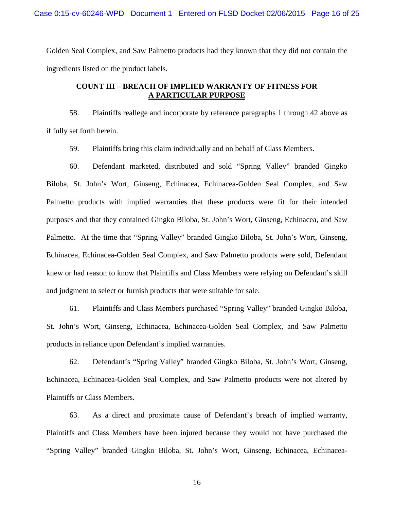Golden Seal Complex, and Saw Palmetto products had they known that they did not contain the ingredients listed on the product labels.

# **COUNT III – BREACH OF IMPLIED WARRANTY OF FITNESS FOR A PARTICULAR PURPOSE**

58. Plaintiffs reallege and incorporate by reference paragraphs 1 through 42 above as if fully set forth herein.

59. Plaintiffs bring this claim individually and on behalf of Class Members.

60. Defendant marketed, distributed and sold "Spring Valley" branded Gingko Biloba, St. John's Wort, Ginseng, Echinacea, Echinacea-Golden Seal Complex, and Saw Palmetto products with implied warranties that these products were fit for their intended purposes and that they contained Gingko Biloba, St. John's Wort, Ginseng, Echinacea, and Saw Palmetto. At the time that "Spring Valley" branded Gingko Biloba, St. John's Wort, Ginseng, Echinacea, Echinacea-Golden Seal Complex, and Saw Palmetto products were sold, Defendant knew or had reason to know that Plaintiffs and Class Members were relying on Defendant's skill and judgment to select or furnish products that were suitable for sale.

61. Plaintiffs and Class Members purchased "Spring Valley" branded Gingko Biloba, St. John's Wort, Ginseng, Echinacea, Echinacea-Golden Seal Complex, and Saw Palmetto products in reliance upon Defendant's implied warranties.

62. Defendant's "Spring Valley" branded Gingko Biloba, St. John's Wort, Ginseng, Echinacea, Echinacea-Golden Seal Complex, and Saw Palmetto products were not altered by Plaintiffs or Class Members.

63. As a direct and proximate cause of Defendant's breach of implied warranty, Plaintiffs and Class Members have been injured because they would not have purchased the "Spring Valley" branded Gingko Biloba, St. John's Wort, Ginseng, Echinacea, Echinacea-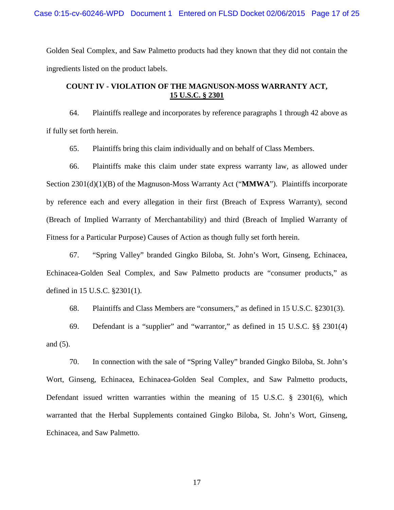Golden Seal Complex, and Saw Palmetto products had they known that they did not contain the ingredients listed on the product labels.

# **COUNT IV - VIOLATION OF THE MAGNUSON-MOSS WARRANTY ACT, 15 U.S.C. § 2301**

64. Plaintiffs reallege and incorporates by reference paragraphs 1 through 42 above as if fully set forth herein.

65. Plaintiffs bring this claim individually and on behalf of Class Members.

66. Plaintiffs make this claim under state express warranty law, as allowed under Section 2301(d)(1)(B) of the Magnuson-Moss Warranty Act ("**MMWA**"). Plaintiffs incorporate by reference each and every allegation in their first (Breach of Express Warranty), second (Breach of Implied Warranty of Merchantability) and third (Breach of Implied Warranty of Fitness for a Particular Purpose) Causes of Action as though fully set forth herein.

67. "Spring Valley" branded Gingko Biloba, St. John's Wort, Ginseng, Echinacea, Echinacea-Golden Seal Complex, and Saw Palmetto products are "consumer products," as defined in 15 U.S.C. §2301(1).

68. Plaintiffs and Class Members are "consumers," as defined in 15 U.S.C. §2301(3).

69. Defendant is a "supplier" and "warrantor," as defined in 15 U.S.C. §§ 2301(4) and (5).

70. In connection with the sale of "Spring Valley" branded Gingko Biloba, St. John's Wort, Ginseng, Echinacea, Echinacea-Golden Seal Complex, and Saw Palmetto products, Defendant issued written warranties within the meaning of 15 U.S.C. § 2301(6), which warranted that the Herbal Supplements contained Gingko Biloba, St. John's Wort, Ginseng, Echinacea, and Saw Palmetto.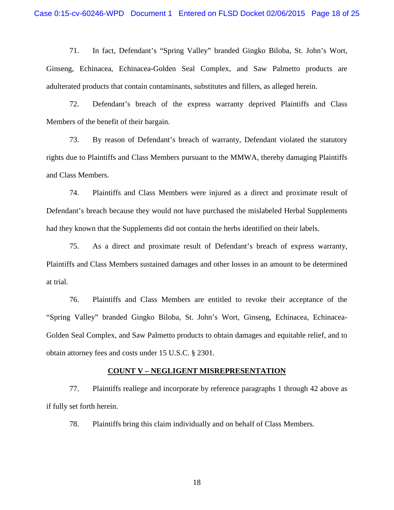71. In fact, Defendant's "Spring Valley" branded Gingko Biloba, St. John's Wort, Ginseng, Echinacea, Echinacea-Golden Seal Complex, and Saw Palmetto products are adulterated products that contain contaminants, substitutes and fillers, as alleged herein.

72. Defendant's breach of the express warranty deprived Plaintiffs and Class Members of the benefit of their bargain.

73. By reason of Defendant's breach of warranty, Defendant violated the statutory rights due to Plaintiffs and Class Members pursuant to the MMWA, thereby damaging Plaintiffs and Class Members.

74. Plaintiffs and Class Members were injured as a direct and proximate result of Defendant's breach because they would not have purchased the mislabeled Herbal Supplements had they known that the Supplements did not contain the herbs identified on their labels.

75. As a direct and proximate result of Defendant's breach of express warranty, Plaintiffs and Class Members sustained damages and other losses in an amount to be determined at trial.

76. Plaintiffs and Class Members are entitled to revoke their acceptance of the "Spring Valley" branded Gingko Biloba, St. John's Wort, Ginseng, Echinacea, Echinacea-Golden Seal Complex, and Saw Palmetto products to obtain damages and equitable relief, and to obtain attorney fees and costs under 15 U.S.C. § 2301.

#### **COUNT V – NEGLIGENT MISREPRESENTATION**

77. Plaintiffs reallege and incorporate by reference paragraphs 1 through 42 above as if fully set forth herein.

78. Plaintiffs bring this claim individually and on behalf of Class Members.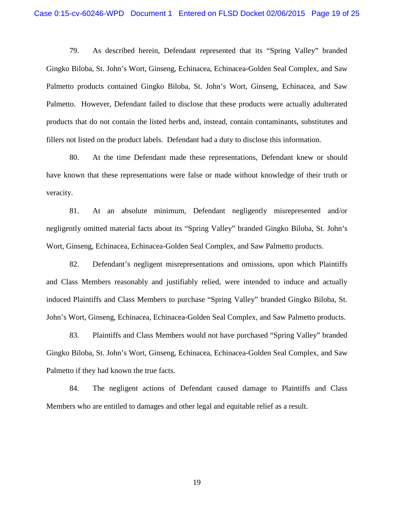79. As described herein, Defendant represented that its "Spring Valley" branded Gingko Biloba, St. John's Wort, Ginseng, Echinacea, Echinacea-Golden Seal Complex, and Saw Palmetto products contained Gingko Biloba, St. John's Wort, Ginseng, Echinacea, and Saw Palmetto. However, Defendant failed to disclose that these products were actually adulterated products that do not contain the listed herbs and, instead, contain contaminants, substitutes and fillers not listed on the product labels. Defendant had a duty to disclose this information.

80. At the time Defendant made these representations, Defendant knew or should have known that these representations were false or made without knowledge of their truth or veracity.

81. At an absolute minimum, Defendant negligently misrepresented and/or negligently omitted material facts about its "Spring Valley" branded Gingko Biloba, St. John's Wort, Ginseng, Echinacea, Echinacea-Golden Seal Complex, and Saw Palmetto products.

82. Defendant's negligent misrepresentations and omissions, upon which Plaintiffs and Class Members reasonably and justifiably relied, were intended to induce and actually induced Plaintiffs and Class Members to purchase "Spring Valley" branded Gingko Biloba, St. John's Wort, Ginseng, Echinacea, Echinacea-Golden Seal Complex, and Saw Palmetto products.

83. Plaintiffs and Class Members would not have purchased "Spring Valley" branded Gingko Biloba, St. John's Wort, Ginseng, Echinacea, Echinacea-Golden Seal Complex, and Saw Palmetto if they had known the true facts.

84. The negligent actions of Defendant caused damage to Plaintiffs and Class Members who are entitled to damages and other legal and equitable relief as a result.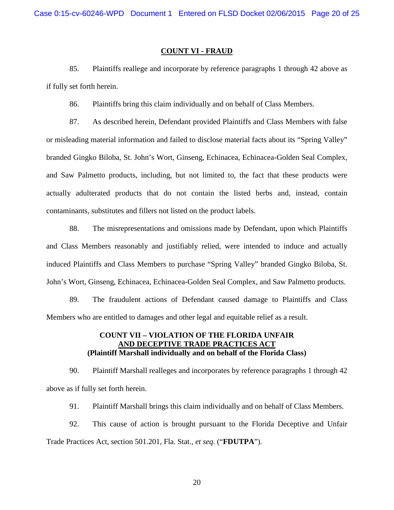#### **COUNT VI - FRAUD**

85. Plaintiffs reallege and incorporate by reference paragraphs 1 through 42 above as if fully set forth herein.

86. Plaintiffs bring this claim individually and on behalf of Class Members.

87. As described herein, Defendant provided Plaintiffs and Class Members with false or misleading material information and failed to disclose material facts about its "Spring Valley" branded Gingko Biloba, St. John's Wort, Ginseng, Echinacea, Echinacea-Golden Seal Complex, and Saw Palmetto products, including, but not limited to, the fact that these products were actually adulterated products that do not contain the listed herbs and, instead, contain contaminants, substitutes and fillers not listed on the product labels.

88. The misrepresentations and omissions made by Defendant, upon which Plaintiffs and Class Members reasonably and justifiably relied, were intended to induce and actually induced Plaintiffs and Class Members to purchase "Spring Valley" branded Gingko Biloba, St. John's Wort, Ginseng, Echinacea, Echinacea-Golden Seal Complex, and Saw Palmetto products.

89. The fraudulent actions of Defendant caused damage to Plaintiffs and Class Members who are entitled to damages and other legal and equitable relief as a result.

## **COUNT VII – VIOLATION OF THE FLORIDA UNFAIR AND DECEPTIVE TRADE PRACTICES ACT (Plaintiff Marshall individually and on behalf of the Florida Class)**

90. Plaintiff Marshall realleges and incorporates by reference paragraphs 1 through 42 above as if fully set forth herein.

91. Plaintiff Marshall brings this claim individually and on behalf of Class Members.

92. This cause of action is brought pursuant to the Florida Deceptive and Unfair Trade Practices Act, section 501.201, Fla. Stat., *et seq*. ("**FDUTPA**").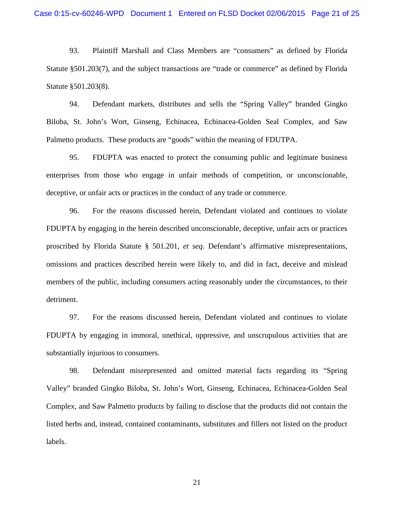93. Plaintiff Marshall and Class Members are "consumers" as defined by Florida Statute §501.203(7), and the subject transactions are "trade or commerce" as defined by Florida Statute §501.203(8).

94. Defendant markets, distributes and sells the "Spring Valley" branded Gingko Biloba, St. John's Wort, Ginseng, Echinacea, Echinacea-Golden Seal Complex, and Saw Palmetto products. These products are "goods" within the meaning of FDUTPA.

95. FDUPTA was enacted to protect the consuming public and legitimate business enterprises from those who engage in unfair methods of competition, or unconscionable, deceptive, or unfair acts or practices in the conduct of any trade or commerce.

96. For the reasons discussed herein, Defendant violated and continues to violate FDUPTA by engaging in the herein described unconscionable, deceptive, unfair acts or practices proscribed by Florida Statute § 501.201, *et seq*. Defendant's affirmative misrepresentations, omissions and practices described herein were likely to, and did in fact, deceive and mislead members of the public, including consumers acting reasonably under the circumstances, to their detriment.

97. For the reasons discussed herein, Defendant violated and continues to violate FDUPTA by engaging in immoral, unethical, oppressive, and unscrupulous activities that are substantially injurious to consumers.

98. Defendant misrepresented and omitted material facts regarding its "Spring Valley" branded Gingko Biloba, St. John's Wort, Ginseng, Echinacea, Echinacea-Golden Seal Complex, and Saw Palmetto products by failing to disclose that the products did not contain the listed herbs and, instead, contained contaminants, substitutes and fillers not listed on the product labels.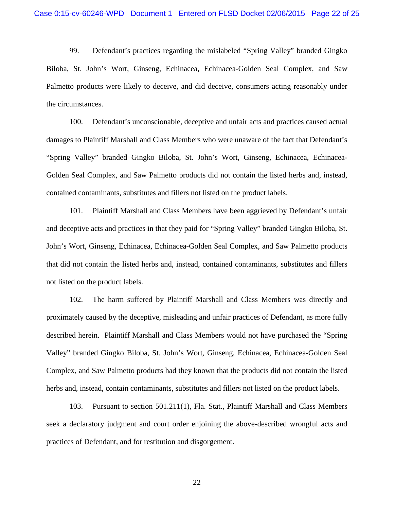99. Defendant's practices regarding the mislabeled "Spring Valley" branded Gingko Biloba, St. John's Wort, Ginseng, Echinacea, Echinacea-Golden Seal Complex, and Saw Palmetto products were likely to deceive, and did deceive, consumers acting reasonably under the circumstances.

100. Defendant's unconscionable, deceptive and unfair acts and practices caused actual damages to Plaintiff Marshall and Class Members who were unaware of the fact that Defendant's "Spring Valley" branded Gingko Biloba, St. John's Wort, Ginseng, Echinacea, Echinacea-Golden Seal Complex, and Saw Palmetto products did not contain the listed herbs and, instead, contained contaminants, substitutes and fillers not listed on the product labels.

101. Plaintiff Marshall and Class Members have been aggrieved by Defendant's unfair and deceptive acts and practices in that they paid for "Spring Valley" branded Gingko Biloba, St. John's Wort, Ginseng, Echinacea, Echinacea-Golden Seal Complex, and Saw Palmetto products that did not contain the listed herbs and, instead, contained contaminants, substitutes and fillers not listed on the product labels.

102. The harm suffered by Plaintiff Marshall and Class Members was directly and proximately caused by the deceptive, misleading and unfair practices of Defendant, as more fully described herein. Plaintiff Marshall and Class Members would not have purchased the "Spring Valley" branded Gingko Biloba, St. John's Wort, Ginseng, Echinacea, Echinacea-Golden Seal Complex, and Saw Palmetto products had they known that the products did not contain the listed herbs and, instead, contain contaminants, substitutes and fillers not listed on the product labels.

103. Pursuant to section 501.211(1), Fla. Stat., Plaintiff Marshall and Class Members seek a declaratory judgment and court order enjoining the above-described wrongful acts and practices of Defendant, and for restitution and disgorgement.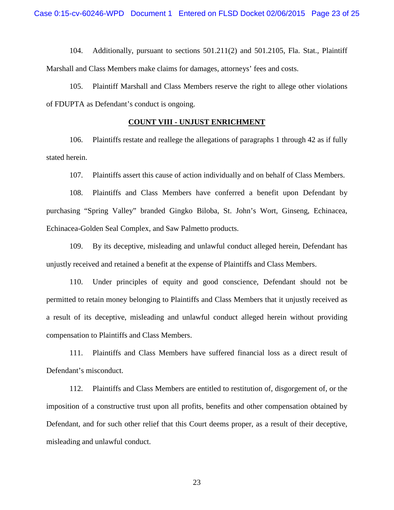104. Additionally, pursuant to sections 501.211(2) and 501.2105, Fla. Stat., Plaintiff Marshall and Class Members make claims for damages, attorneys' fees and costs.

105. Plaintiff Marshall and Class Members reserve the right to allege other violations of FDUPTA as Defendant's conduct is ongoing.

### **COUNT VIII - UNJUST ENRICHMENT**

106. Plaintiffs restate and reallege the allegations of paragraphs 1 through 42 as if fully stated herein.

107. Plaintiffs assert this cause of action individually and on behalf of Class Members.

108. Plaintiffs and Class Members have conferred a benefit upon Defendant by purchasing "Spring Valley" branded Gingko Biloba, St. John's Wort, Ginseng, Echinacea, Echinacea-Golden Seal Complex, and Saw Palmetto products.

109. By its deceptive, misleading and unlawful conduct alleged herein, Defendant has unjustly received and retained a benefit at the expense of Plaintiffs and Class Members.

110. Under principles of equity and good conscience, Defendant should not be permitted to retain money belonging to Plaintiffs and Class Members that it unjustly received as a result of its deceptive, misleading and unlawful conduct alleged herein without providing compensation to Plaintiffs and Class Members.

111. Plaintiffs and Class Members have suffered financial loss as a direct result of Defendant's misconduct.

112. Plaintiffs and Class Members are entitled to restitution of, disgorgement of, or the imposition of a constructive trust upon all profits, benefits and other compensation obtained by Defendant, and for such other relief that this Court deems proper, as a result of their deceptive, misleading and unlawful conduct.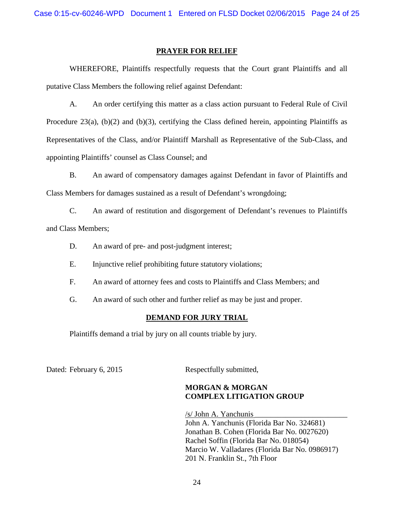Case 0:15-cv-60246-WPD Document 1 Entered on FLSD Docket 02/06/2015 Page 24 of 25

#### **PRAYER FOR RELIEF**

WHEREFORE, Plaintiffs respectfully requests that the Court grant Plaintiffs and all putative Class Members the following relief against Defendant:

A. An order certifying this matter as a class action pursuant to Federal Rule of Civil Procedure 23(a),  $(b)(2)$  and  $(b)(3)$ , certifying the Class defined herein, appointing Plaintiffs as Representatives of the Class, and/or Plaintiff Marshall as Representative of the Sub-Class, and appointing Plaintiffs' counsel as Class Counsel; and

B. An award of compensatory damages against Defendant in favor of Plaintiffs and Class Members for damages sustained as a result of Defendant's wrongdoing;

C. An award of restitution and disgorgement of Defendant's revenues to Plaintiffs and Class Members;

D. An award of pre- and post-judgment interest;

E. Injunctive relief prohibiting future statutory violations;

F. An award of attorney fees and costs to Plaintiffs and Class Members; and

G. An award of such other and further relief as may be just and proper.

#### **DEMAND FOR JURY TRIAL**

Plaintiffs demand a trial by jury on all counts triable by jury.

Dated: February 6, 2015 Respectfully submitted,

# **MORGAN & MORGAN COMPLEX LITIGATION GROUP**

/s/ John A. Yanchunis \_\_\_\_\_\_\_\_\_\_\_\_\_\_\_\_\_\_\_\_\_\_\_\_ John A. Yanchunis (Florida Bar No. 324681) Jonathan B. Cohen (Florida Bar No. 0027620) Rachel Soffin (Florida Bar No. 018054) Marcio W. Valladares (Florida Bar No. 0986917) 201 N. Franklin St., 7th Floor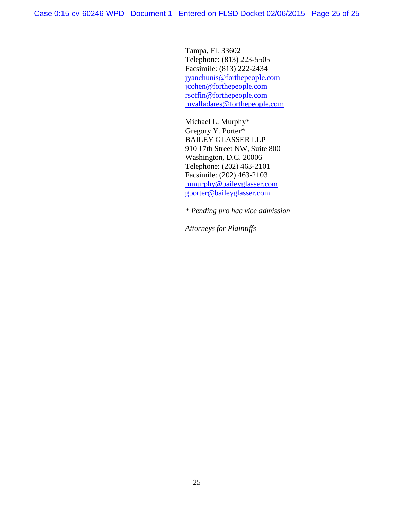Tampa, FL 33602 Telephone: (813) 223-5505 Facsimile: (813) 222-2434 [jyanchunis@forthepeople.com](mailto:jyanchunis@forthepeople.com) [jcohen@forthepeople.com](mailto:jcohen@forthepeople.com) [rsoffin@forthepeople.com](mailto:rsoffin@forthepeople.com) mvalladares@forthepeople.com

Michael L. Murphy\* Gregory Y. Porter\* BAILEY GLASSER LLP 910 17th Street NW, Suite 800 Washington, D.C. 20006 Telephone: (202) 463-2101 Facsimile: (202) 463-2103 [mmurphy@baileyglasser.com](mailto:mmurphy@baileyglasser.com) [gporter@baileyglasser.com](mailto:gporter@baileyglasser.com)

*\* Pending pro hac vice admission*

*Attorneys for Plaintiffs*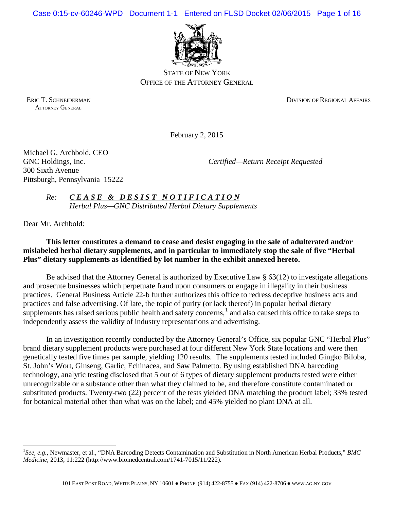Case 0:15-cv-60246-WPD Document 1-1 Entered on FLSD Docket 02/06/2015 Page 1 of 16



STATE OF NEW YORK OFFICE OF THE ATTORNEY GENERAL

ATTORNEY GENERAL

ERIC T. SCHNEIDERMAN DIVISION OF REGIONAL AFFAIRS

February 2, 2015

Michael G. Archbold, CEO 300 Sixth Avenue Pittsburgh, Pennsylvania 15222

GNC Holdings, Inc. *Certified—Return Receipt Requested* 

*Re: CEASE & DESIST NOTIFICATION Herbal Plus—GNC Distributed Herbal Dietary Supplements*

Dear Mr. Archbold:

 $\overline{a}$ 

# **This letter constitutes a demand to cease and desist engaging in the sale of adulterated and/or mislabeled herbal dietary supplements, and in particular to immediately stop the sale of five "Herbal Plus" dietary supplements as identified by lot number in the exhibit annexed hereto.**

Be advised that the Attorney General is authorized by Executive Law § 63(12) to investigate allegations and prosecute businesses which perpetuate fraud upon consumers or engage in illegality in their business practices. General Business Article 22-b further authorizes this office to redress deceptive business acts and practices and false advertising. Of late, the topic of purity (or lack thereof) in popular herbal dietary supplements has raised serious public health and safety concerns, $<sup>1</sup>$  $<sup>1</sup>$  $<sup>1</sup>$  and also caused this office to take steps to</sup> independently assess the validity of industry representations and advertising.

In an investigation recently conducted by the Attorney General's Office, six popular GNC "Herbal Plus" brand dietary supplement products were purchased at four different New York State locations and were then genetically tested five times per sample, yielding 120 results. The supplements tested included Gingko Biloba, St. John's Wort, Ginseng, Garlic, Echinacea, and Saw Palmetto. By using established DNA barcoding technology, analytic testing disclosed that 5 out of 6 types of dietary supplement products tested were either unrecognizable or a substance other than what they claimed to be, and therefore constitute contaminated or substituted products. Twenty-two (22) percent of the tests yielded DNA matching the product label; 33% tested for botanical material other than what was on the label; and 45% yielded no plant DNA at all.

<span id="page-25-0"></span><sup>&</sup>lt;sup>1</sup>See, e.g., Newmaster, et al., "DNA Barcoding Detects Contamination and Substitution in North American Herbal Products," BMC *Medicine*, 2013, 11:222 (http://www.biomedcentral.com/1741-7015/11/222).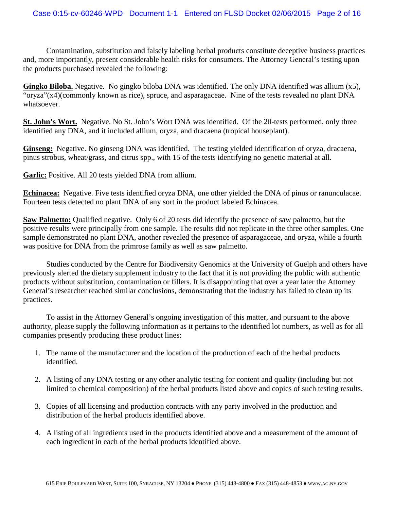Contamination, substitution and falsely labeling herbal products constitute deceptive business practices and, more importantly, present considerable health risks for consumers. The Attorney General's testing upon the products purchased revealed the following:

**Gingko Biloba.** Negative. No gingko biloba DNA was identified. The only DNA identified was allium (x5), "oryza"(x4)(commonly known as rice), spruce, and asparagaceae. Nine of the tests revealed no plant DNA whatsoever.

**St. John's Wort.** Negative. No St. John's Wort DNA was identified. Of the 20-tests performed, only three identified any DNA, and it included allium, oryza, and dracaena (tropical houseplant).

**Ginseng:** Negative. No ginseng DNA was identified. The testing yielded identification of oryza, dracaena, pinus strobus, wheat/grass, and citrus spp., with 15 of the tests identifying no genetic material at all.

**Garlic:** Positive. All 20 tests yielded DNA from allium.

**Echinacea:** Negative. Five tests identified oryza DNA, one other yielded the DNA of pinus or ranunculacae. Fourteen tests detected no plant DNA of any sort in the product labeled Echinacea.

**Saw Palmetto:** Qualified negative. Only 6 of 20 tests did identify the presence of saw palmetto, but the positive results were principally from one sample. The results did not replicate in the three other samples. One sample demonstrated no plant DNA, another revealed the presence of asparagaceae, and oryza, while a fourth was positive for DNA from the primrose family as well as saw palmetto.

Studies conducted by the Centre for Biodiversity Genomics at the University of Guelph and others have previously alerted the dietary supplement industry to the fact that it is not providing the public with authentic products without substitution, contamination or fillers. It is disappointing that over a year later the Attorney General's researcher reached similar conclusions, demonstrating that the industry has failed to clean up its practices.

To assist in the Attorney General's ongoing investigation of this matter, and pursuant to the above authority, please supply the following information as it pertains to the identified lot numbers, as well as for all companies presently producing these product lines:

- 1. The name of the manufacturer and the location of the production of each of the herbal products identified.
- 2. A listing of any DNA testing or any other analytic testing for content and quality (including but not limited to chemical composition) of the herbal products listed above and copies of such testing results.
- 3. Copies of all licensing and production contracts with any party involved in the production and distribution of the herbal products identified above.
- 4. A listing of all ingredients used in the products identified above and a measurement of the amount of each ingredient in each of the herbal products identified above.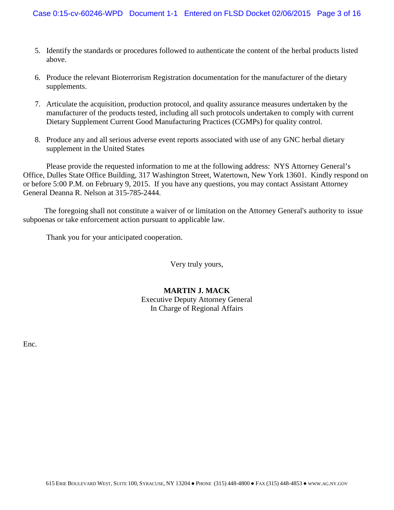- 5. Identify the standards or procedures followed to authenticate the content of the herbal products listed above.
- 6. Produce the relevant Bioterrorism Registration documentation for the manufacturer of the dietary supplements.
- 7. Articulate the acquisition, production protocol, and quality assurance measures undertaken by the manufacturer of the products tested, including all such protocols undertaken to comply with current Dietary Supplement Current Good Manufacturing Practices (CGMPs) for quality control.
- 8. Produce any and all serious adverse event reports associated with use of any GNC herbal dietary supplement in the United States

Please provide the requested information to me at the following address: NYS Attorney General's Office, Dulles State Office Building, 317 Washington Street, Watertown, New York 13601. Kindly respond on or before 5:00 P.M. on February 9, 2015. If you have any questions, you may contact Assistant Attorney General Deanna R. Nelson at 315-785-2444.

 The foregoing shall not constitute a waiver of or limitation on the Attorney General's authority to issue subpoenas or take enforcement action pursuant to applicable law.

Thank you for your anticipated cooperation.

Very truly yours,

## **MARTIN J. MACK** Executive Deputy Attorney General In Charge of Regional Affairs

Enc.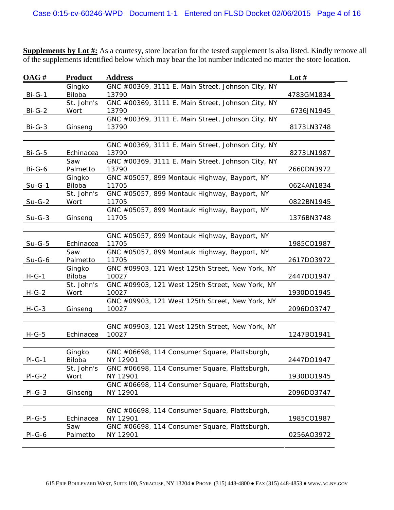**Supplements by Lot #:** As a courtesy, store location for the tested supplement is also listed. Kindly remove all of the supplements identified below which may bear the lot number indicated no matter the store location.

| OAG#          | <b>Product</b>       | <b>Address</b>                                        | Lot $#$    |
|---------------|----------------------|-------------------------------------------------------|------------|
|               | Gingko               | GNC #00369, 3111 E. Main Street, Johnson City, NY     |            |
| $Bi-G-1$      | Biloba               | 13790                                                 | 4783GM1834 |
|               | St. John's           | GNC #00369, 3111 E. Main Street, Johnson City, NY     |            |
| Bi-G-2        | Wort                 | 13790                                                 | 6736JN1945 |
|               |                      | GNC #00369, 3111 E. Main Street, Johnson City, NY     |            |
| $Bi-G-3$      | Ginseng              | 13790                                                 | 8173LN3748 |
|               |                      |                                                       |            |
|               |                      | GNC #00369, 3111 E. Main Street, Johnson City, NY     |            |
| <b>Bi-G-5</b> | Echinacea            | 13790                                                 | 8273LN1987 |
|               | Saw                  | GNC #00369, 3111 E. Main Street, Johnson City, NY     |            |
| Bi-G-6        | Palmetto             | 13790                                                 | 2660DN3972 |
|               | Gingko               | GNC #05057, 899 Montauk Highway, Bayport, NY          |            |
| <u>Su-G-1</u> | Biloba<br>St. John's | 11705                                                 | 0624AN1834 |
| $Su-G-2$      | Wort                 | GNC #05057, 899 Montauk Highway, Bayport, NY<br>11705 | 0822BN1945 |
|               |                      | GNC #05057, 899 Montauk Highway, Bayport, NY          |            |
| $Su-G-3$      | Ginseng              | 11705                                                 | 1376BN3748 |
|               |                      |                                                       |            |
|               |                      | GNC #05057, 899 Montauk Highway, Bayport, NY          |            |
| $Su-G-5$      | Echinacea            | 11705                                                 | 1985CO1987 |
|               | Saw                  | GNC #05057, 899 Montauk Highway, Bayport, NY          |            |
| Su-G-6        | Palmetto             | 11705                                                 | 2617DO3972 |
|               | Gingko               | GNC #09903, 121 West 125th Street, New York, NY       |            |
| $H-G-1$       | Biloba               | 10027                                                 | 2447DO1947 |
|               | St. John's           | GNC #09903, 121 West 125th Street, New York, NY       |            |
| H-G-2         | Wort                 | 10027                                                 | 1930DO1945 |
|               |                      | GNC #09903, 121 West 125th Street, New York, NY       |            |
| $H-G-3$       | Ginseng              | 10027                                                 | 2096DO3747 |
|               |                      |                                                       |            |
|               |                      | GNC #09903, 121 West 125th Street, New York, NY       |            |
| $H-G-5$       | Echinacea            | 10027                                                 | 1247BO1941 |
|               |                      |                                                       |            |
|               | Gingko               | GNC #06698, 114 Consumer Square, Plattsburgh,         |            |
| $PI-G-1$      | Biloba               | NY 12901                                              | 2447DO1947 |
|               | St. John's           | GNC #06698, 114 Consumer Square, Plattsburgh,         |            |
| $PI-G-2$      | Wort                 | NY 12901                                              | 1930DO1945 |
|               |                      | GNC #06698, 114 Consumer Square, Plattsburgh,         |            |
| $PI-G-3$      | Ginseng              | NY 12901                                              | 2096DO3747 |
|               |                      |                                                       |            |
|               |                      | GNC #06698, 114 Consumer Square, Plattsburgh,         |            |
| $PI-G-5$      | Echinacea            | NY 12901                                              | 1985CO1987 |
|               | Saw                  | GNC #06698, 114 Consumer Square, Plattsburgh,         |            |
| $PI-G-6$      | Palmetto             | NY 12901                                              | 0256AO3972 |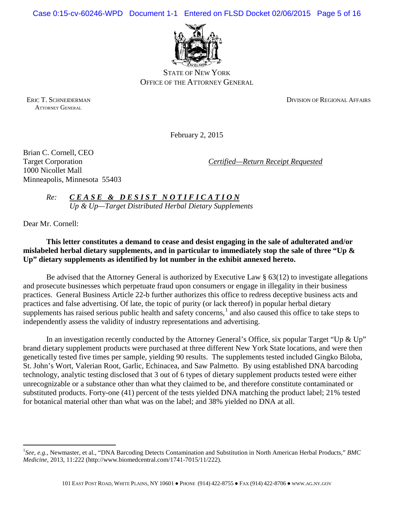Case 0:15-cv-60246-WPD Document 1-1 Entered on FLSD Docket 02/06/2015 Page 5 of 16



STATE OF NEW YORK OFFICE OF THE ATTORNEY GENERAL

ATTORNEY GENERAL

ERIC T. SCHNEIDERMAN DIVISION OF REGIONAL AFFAIRS

February 2, 2015

Brian C. Cornell, CEO 1000 Nicollet Mall Minneapolis, Minnesota 55403

Target Corporation *Certified—Return Receipt Requested*

*Re: C E A S E & D E S I S T N O T I F I C A T I O N Up & Up—Target Distributed Herbal Dietary Supplements*

Dear Mr. Cornell:

 $\overline{a}$ 

**This letter constitutes a demand to cease and desist engaging in the sale of adulterated and/or mislabeled herbal dietary supplements, and in particular to immediately stop the sale of three "Up & Up" dietary supplements as identified by lot number in the exhibit annexed hereto.**

Be advised that the Attorney General is authorized by Executive Law § 63(12) to investigate allegations and prosecute businesses which perpetuate fraud upon consumers or engage in illegality in their business practices. General Business Article 22-b further authorizes this office to redress deceptive business acts and practices and false advertising. Of late, the topic of purity (or lack thereof) in popular herbal dietary supplements has raised serious public health and safety concerns, $<sup>1</sup>$  $<sup>1</sup>$  $<sup>1</sup>$  and also caused this office to take steps to</sup> independently assess the validity of industry representations and advertising.

In an investigation recently conducted by the Attorney General's Office, six popular Target "Up  $\&$  Up" brand dietary supplement products were purchased at three different New York State locations, and were then genetically tested five times per sample, yielding 90 results. The supplements tested included Gingko Biloba, St. John's Wort, Valerian Root, Garlic, Echinacea, and Saw Palmetto. By using established DNA barcoding technology, analytic testing disclosed that 3 out of 6 types of dietary supplement products tested were either unrecognizable or a substance other than what they claimed to be, and therefore constitute contaminated or substituted products. Forty-one (41) percent of the tests yielded DNA matching the product label; 21% tested for botanical material other than what was on the label; and 38% yielded no DNA at all.

<span id="page-29-0"></span><sup>&</sup>lt;sup>1</sup>See, e.g., Newmaster, et al., "DNA Barcoding Detects Contamination and Substitution in North American Herbal Products," BMC *Medicine*, 2013, 11:222 (http://www.biomedcentral.com/1741-7015/11/222).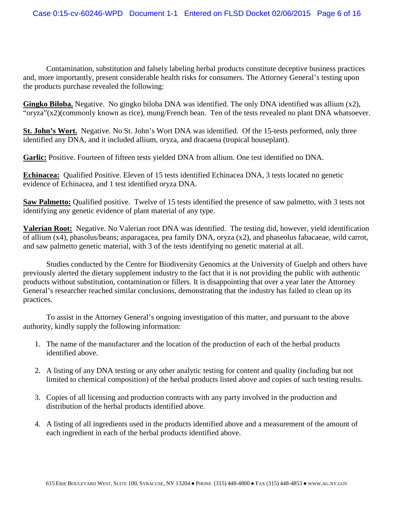Contamination, substitution and falsely labeling herbal products constitute deceptive business practices and, more importantly, present considerable health risks for consumers. The Attorney General's testing upon the products purchase revealed the following:

**Gingko Biloba.** Negative. No gingko biloba DNA was identified. The only DNA identified was allium (x2), "oryza"(x2)(commonly known as rice), mung/French bean. Ten of the tests revealed no plant DNA whatsoever.

**St. John's Wort.** Negative. No St. John's Wort DNA was identified. Of the 15-tests performed, only three identified any DNA, and it included allium, oryza, and dracaena (tropical houseplant).

**Garlic:** Positive. Fourteen of fifteen tests yielded DNA from allium. One test identified no DNA.

**Echinacea:** Qualified Positive. Eleven of 15 tests identified Echinacea DNA, 3 tests located no genetic evidence of Echinacea, and 1 test identified oryza DNA.

**Saw Palmetto:** Qualified positive. Twelve of 15 tests identified the presence of saw palmetto, with 3 tests not identifying any genetic evidence of plant material of any type.

**Valerian Root:** Negative. No Valerian root DNA was identified. The testing did, however, yield identification of allium (x4), phasolus/beans; asparagacea, pea family DNA, oryza (x2), and phaseolus fabacaeae, wild carrot, and saw palmetto genetic material, with 3 of the tests identifying no genetic material at all.

Studies conducted by the Centre for Biodiversity Genomics at the University of Guelph and others have previously alerted the dietary supplement industry to the fact that it is not providing the public with authentic products without substitution, contamination or fillers. It is disappointing that over a year later the Attorney General's researcher reached similar conclusions, demonstrating that the industry has failed to clean up its practices.

To assist in the Attorney General's ongoing investigation of this matter, and pursuant to the above authority, kindly supply the following information:

- 1. The name of the manufacturer and the location of the production of each of the herbal products identified above.
- 2. A listing of any DNA testing or any other analytic testing for content and quality (including but not limited to chemical composition) of the herbal products listed above and copies of such testing results.
- 3. Copies of all licensing and production contracts with any party involved in the production and distribution of the herbal products identified above.
- 4. A listing of all ingredients used in the products identified above and a measurement of the amount of each ingredient in each of the herbal products identified above.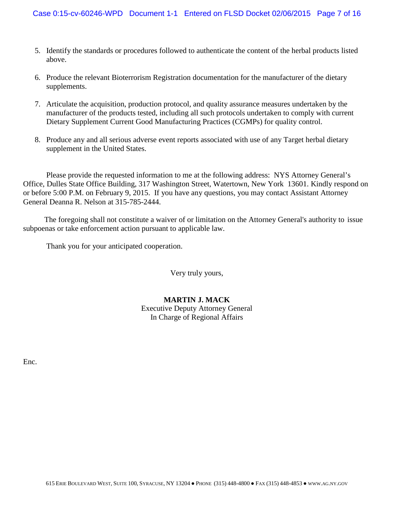- 5. Identify the standards or procedures followed to authenticate the content of the herbal products listed above.
- 6. Produce the relevant Bioterrorism Registration documentation for the manufacturer of the dietary supplements.
- 7. Articulate the acquisition, production protocol, and quality assurance measures undertaken by the manufacturer of the products tested, including all such protocols undertaken to comply with current Dietary Supplement Current Good Manufacturing Practices (CGMPs) for quality control.
- 8. Produce any and all serious adverse event reports associated with use of any Target herbal dietary supplement in the United States.

Please provide the requested information to me at the following address: NYS Attorney General's Office, Dulles State Office Building, 317 Washington Street, Watertown, New York 13601. Kindly respond on or before 5:00 P.M. on February 9, 2015. If you have any questions, you may contact Assistant Attorney General Deanna R. Nelson at 315-785-2444.

 The foregoing shall not constitute a waiver of or limitation on the Attorney General's authority to issue subpoenas or take enforcement action pursuant to applicable law.

Thank you for your anticipated cooperation.

Very truly yours,

# **MARTIN J. MACK** Executive Deputy Attorney General In Charge of Regional Affairs

Enc.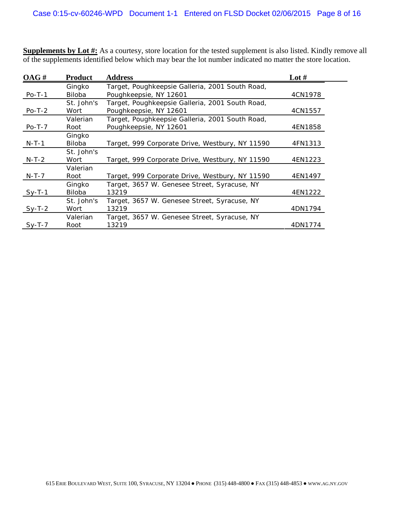**Supplements by Lot #:** As a courtesy, store location for the tested supplement is also listed. Kindly remove all of the supplements identified below which may bear the lot number indicated no matter the store location.

| OAG#     | <b>Product</b>          | <b>Address</b>                                                            | Lot $#$ |
|----------|-------------------------|---------------------------------------------------------------------------|---------|
| $Po-T-1$ | Gingko<br><b>Biloba</b> | Target, Poughkeepsie Galleria, 2001 South Road,<br>Poughkeepsie, NY 12601 | 4CN1978 |
| $Po-T-2$ | St. John's<br>Wort      | Target, Poughkeepsie Galleria, 2001 South Road,<br>Poughkeepsie, NY 12601 | 4CN1557 |
| $Po-T-7$ | Valerian<br>Root        | Target, Poughkeepsie Galleria, 2001 South Road,<br>Poughkeepsie, NY 12601 | 4EN1858 |
| $N-T-1$  | Gingko<br><b>Biloba</b> | Target, 999 Corporate Drive, Westbury, NY 11590                           | 4FN1313 |
| $N-T-2$  | St. John's<br>Wort      | Target, 999 Corporate Drive, Westbury, NY 11590                           | 4EN1223 |
| $N-T-7$  | Valerian<br>Root        | Target, 999 Corporate Drive, Westbury, NY 11590                           | 4EN1497 |
| $Sy-T-1$ | Gingko<br>Biloba        | Target, 3657 W. Genesee Street, Syracuse, NY<br>13219                     | 4EN1222 |
| $Sy-T-2$ | St. John's<br>Wort      | Target, 3657 W. Genesee Street, Syracuse, NY<br>13219                     | 4DN1794 |
| $Sy-T-7$ | Valerian<br>Root        | Target, 3657 W. Genesee Street, Syracuse, NY<br>13219                     | 4DN1774 |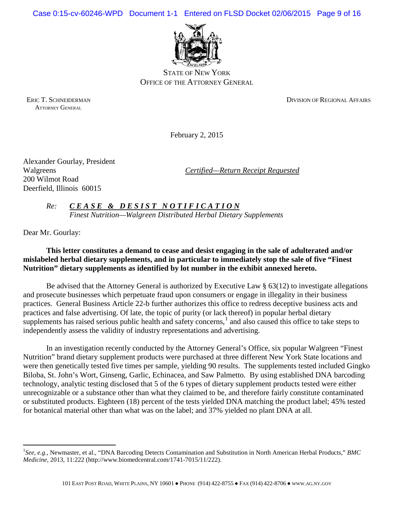Case 0:15-cv-60246-WPD Document 1-1 Entered on FLSD Docket 02/06/2015 Page 9 of 16



STATE OF NEW YORK OFFICE OF THE ATTORNEY GENERAL

ATTORNEY GENERAL

ERIC T. SCHNEIDERMAN DIVISION OF REGIONAL AFFAIRS

February 2, 2015

Alexander Gourlay, President 200 Wilmot Road Deerfield, Illinois 60015

Walgreens *Certified—Return Receipt Requested*

*Re: C E A S E & D E S I S T N O T I F I C A T I O N Finest Nutrition—Walgreen Distributed Herbal Dietary Supplements*

Dear Mr. Gourlay:

 $\overline{a}$ 

# **This letter constitutes a demand to cease and desist engaging in the sale of adulterated and/or mislabeled herbal dietary supplements, and in particular to immediately stop the sale of five "Finest Nutrition" dietary supplements as identified by lot number in the exhibit annexed hereto.**

Be advised that the Attorney General is authorized by Executive Law § 63(12) to investigate allegations and prosecute businesses which perpetuate fraud upon consumers or engage in illegality in their business practices. General Business Article 22-b further authorizes this office to redress deceptive business acts and practices and false advertising. Of late, the topic of purity (or lack thereof) in popular herbal dietary supplements has raised serious public health and safety concerns, $<sup>1</sup>$  $<sup>1</sup>$  $<sup>1</sup>$  and also caused this office to take steps to</sup> independently assess the validity of industry representations and advertising.

In an investigation recently conducted by the Attorney General's Office, six popular Walgreen "Finest Nutrition" brand dietary supplement products were purchased at three different New York State locations and were then genetically tested five times per sample, yielding 90 results. The supplements tested included Gingko Biloba, St. John's Wort, Ginseng, Garlic, Echinacea, and Saw Palmetto. By using established DNA barcoding technology, analytic testing disclosed that 5 of the 6 types of dietary supplement products tested were either unrecognizable or a substance other than what they claimed to be, and therefore fairly constitute contaminated or substituted products. Eighteen (18) percent of the tests yielded DNA matching the product label; 45% tested for botanical material other than what was on the label; and 37% yielded no plant DNA at all.

<span id="page-33-0"></span><sup>&</sup>lt;sup>1</sup>See, e.g., Newmaster, et al., "DNA Barcoding Detects Contamination and Substitution in North American Herbal Products," BMC *Medicine*, 2013, 11:222 (http://www.biomedcentral.com/1741-7015/11/222).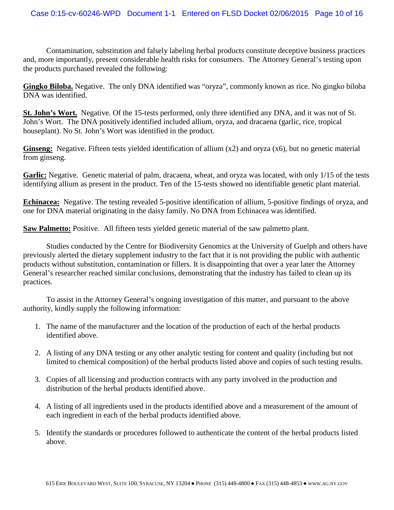Contamination, substitution and falsely labeling herbal products constitute deceptive business practices and, more importantly, present considerable health risks for consumers. The Attorney General's testing upon the products purchased revealed the following:

**Gingko Biloba.** Negative. The only DNA identified was "oryza", commonly known as rice. No gingko biloba DNA was identified.

**St. John's Wort.** Negative. Of the 15-tests performed, only three identified any DNA, and it was not of St. John's Wort. The DNA positively identified included allium, oryza, and dracaena (garlic, rice, tropical houseplant). No St. John's Wort was identified in the product.

**Ginseng:** Negative. Fifteen tests yielded identification of allium (x2) and oryza (x6), but no genetic material from ginseng.

**Garlic:** Negative. Genetic material of palm, dracaena, wheat, and oryza was located, with only 1/15 of the tests identifying allium as present in the product. Ten of the 15-tests showed no identifiable genetic plant material.

**Echinacea:** Negative. The testing revealed 5-positive identification of allium, 5-positive findings of oryza, and one for DNA material originating in the daisy family. No DNA from Echinacea was identified.

**Saw Palmetto:** Positive. All fifteen tests yielded genetic material of the saw palmetto plant.

Studies conducted by the Centre for Biodiversity Genomics at the University of Guelph and others have previously alerted the dietary supplement industry to the fact that it is not providing the public with authentic products without substitution, contamination or fillers. It is disappointing that over a year later the Attorney General's researcher reached similar conclusions, demonstrating that the industry has failed to clean up its practices.

To assist in the Attorney General's ongoing investigation of this matter, and pursuant to the above authority, kindly supply the following information:

- 1. The name of the manufacturer and the location of the production of each of the herbal products identified above.
- 2. A listing of any DNA testing or any other analytic testing for content and quality (including but not limited to chemical composition) of the herbal products listed above and copies of such testing results.
- 3. Copies of all licensing and production contracts with any party involved in the production and distribution of the herbal products identified above.
- 4. A listing of all ingredients used in the products identified above and a measurement of the amount of each ingredient in each of the herbal products identified above.
- 5. Identify the standards or procedures followed to authenticate the content of the herbal products listed above.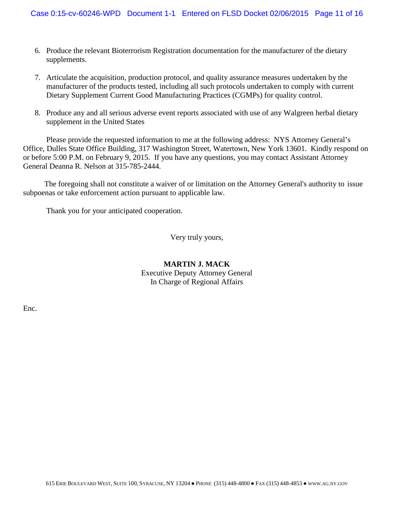- 6. Produce the relevant Bioterrorism Registration documentation for the manufacturer of the dietary supplements.
- 7. Articulate the acquisition, production protocol, and quality assurance measures undertaken by the manufacturer of the products tested, including all such protocols undertaken to comply with current Dietary Supplement Current Good Manufacturing Practices (CGMPs) for quality control.
- 8. Produce any and all serious adverse event reports associated with use of any Walgreen herbal dietary supplement in the United States

Please provide the requested information to me at the following address: NYS Attorney General's Office, Dulles State Office Building, 317 Washington Street, Watertown, New York 13601. Kindly respond on or before 5:00 P.M. on February 9, 2015. If you have any questions, you may contact Assistant Attorney General Deanna R. Nelson at 315-785-2444.

 The foregoing shall not constitute a waiver of or limitation on the Attorney General's authority to issue subpoenas or take enforcement action pursuant to applicable law.

Thank you for your anticipated cooperation.

Very truly yours,

# **MARTIN J. MACK** Executive Deputy Attorney General In Charge of Regional Affairs

Enc.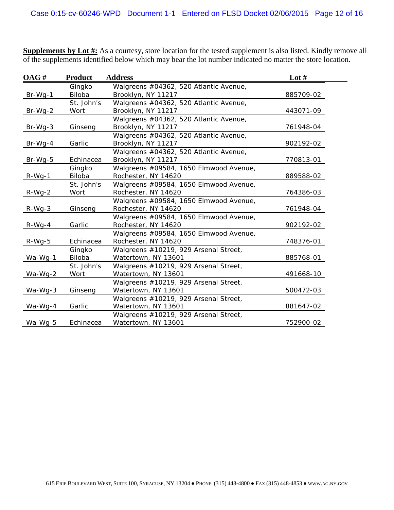**Supplements by Lot #:** As a courtesy, store location for the tested supplement is also listed. Kindly remove all of the supplements identified below which may bear the lot number indicated no matter the store location.

| OAG#      | <b>Product</b> | <b>Address</b>                         | Lot $#$   |
|-----------|----------------|----------------------------------------|-----------|
|           | Gingko         | Walgreens #04362, 520 Atlantic Avenue, |           |
| $Br-Wg-1$ | Biloba         | Brooklyn, NY 11217                     | 885709-02 |
|           | St. John's     | Walgreens #04362, 520 Atlantic Avenue, |           |
| $Br-Wg-2$ | Wort           | Brooklyn, NY 11217                     | 443071-09 |
|           |                | Walgreens #04362, 520 Atlantic Avenue, |           |
| Br-Wg-3   | Ginseng        | Brooklyn, NY 11217                     | 761948-04 |
|           |                | Walgreens #04362, 520 Atlantic Avenue, |           |
| Br-Wg-4   | Garlic         | Brooklyn, NY 11217                     | 902192-02 |
|           |                | Walgreens #04362, 520 Atlantic Avenue, |           |
| $Br-Wg-5$ | Echinacea      | Brooklyn, NY 11217                     | 770813-01 |
|           | Gingko         | Walgreens #09584, 1650 Elmwood Avenue, |           |
| $R-Wg-1$  | Biloba         | Rochester, NY 14620                    | 889588-02 |
|           | St. John's     | Walgreens #09584, 1650 Elmwood Avenue, |           |
| R-Wg-2    | Wort           | Rochester, NY 14620                    | 764386-03 |
|           |                | Walgreens #09584, 1650 Elmwood Avenue, |           |
| $R-Wg-3$  | Ginseng        | Rochester, NY 14620                    | 761948-04 |
|           |                | Walgreens #09584, 1650 Elmwood Avenue, |           |
| $R-Wg-4$  | Garlic         | Rochester, NY 14620                    | 902192-02 |
|           |                | Walgreens #09584, 1650 Elmwood Avenue, |           |
| R-Wg-5    | Echinacea      | Rochester, NY 14620                    | 748376-01 |
|           | Gingko         | Walgreens #10219, 929 Arsenal Street,  |           |
| Wa-Wg-1   | Biloba         | Watertown, NY 13601                    | 885768-01 |
|           | St. John's     | Walgreens #10219, 929 Arsenal Street,  |           |
| Wa-Wg-2   | Wort           | Watertown, NY 13601                    | 491668-10 |
|           |                | Walgreens #10219, 929 Arsenal Street,  |           |
| Wa-Wg-3   | Ginseng        | Watertown, NY 13601                    | 500472-03 |
|           |                | Walgreens #10219, 929 Arsenal Street,  |           |
| Wa-Wg-4   | Garlic         | Watertown, NY 13601                    | 881647-02 |
|           |                | Walgreens #10219, 929 Arsenal Street,  |           |
| Wa-Wg-5   | Echinacea      | Watertown, NY 13601                    | 752900-02 |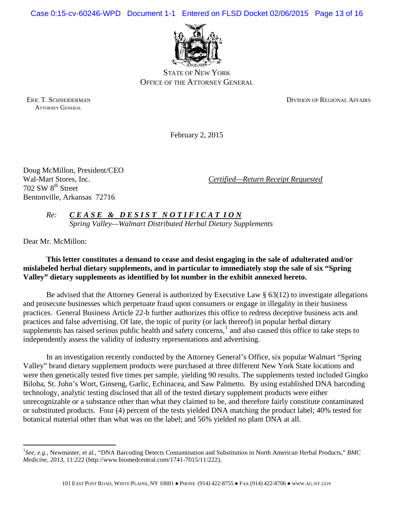Case 0:15-cv-60246-WPD Document 1-1 Entered on FLSD Docket 02/06/2015 Page 13 of 16



STATE OF NEW YORK OFFICE OF THE ATTORNEY GENERAL

ATTORNEY GENERAL

ERIC T. SCHNEIDERMAN DIVISION OF REGIONAL AFFAIRS

February 2, 2015

Doug McMillon, President/CEO 702 SW 8<sup>th</sup> Street Bentonville, Arkansas 72716

Wal-Mart Stores, Inc. *Certified—Return Receipt Requested*

*Re: C E A S E & D E S I S T N O T I F I C A T I O N Spring Valley—Walmart Distributed Herbal Dietary Supplements*

Dear Mr. McMillon:

 $\overline{a}$ 

# **This letter constitutes a demand to cease and desist engaging in the sale of adulterated and/or mislabeled herbal dietary supplements, and in particular to immediately stop the sale of six "Spring Valley" dietary supplements as identified by lot number in the exhibit annexed hereto.**

Be advised that the Attorney General is authorized by Executive Law § 63(12) to investigate allegations and prosecute businesses which perpetuate fraud upon consumers or engage in illegality in their business practices. General Business Article 22-b further authorizes this office to redress deceptive business acts and practices and false advertising. Of late, the topic of purity (or lack thereof) in popular herbal dietary supplements has raised serious public health and safety concerns, $<sup>1</sup>$  $<sup>1</sup>$  $<sup>1</sup>$  and also caused this office to take steps to</sup> independently assess the validity of industry representations and advertising.

In an investigation recently conducted by the Attorney General's Office, six popular Walmart "Spring Valley" brand dietary supplement products were purchased at three different New York State locations and were then genetically tested five times per sample, yielding 90 results. The supplements tested included Gingko Biloba, St. John's Wort, Ginseng, Garlic, Echinacea, and Saw Palmetto. By using established DNA barcoding technology, analytic testing disclosed that all of the tested dietary supplement products were either unrecognizable or a substance other than what they claimed to be, and therefore fairly constitute contaminated or substituted products. Four (4) percent of the tests yielded DNA matching the product label; 40% tested for botanical material other than what was on the label; and 56% yielded no plant DNA at all.

<span id="page-37-0"></span><sup>&</sup>lt;sup>1</sup>See, e.g., Newmaster, et al., "DNA Barcoding Detects Contamination and Substitution in North American Herbal Products," BMC *Medicine*, 2013, 11:222 (http://www.biomedcentral.com/1741-7015/11/222).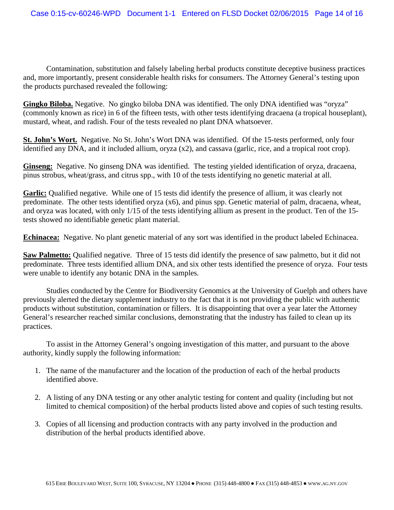Contamination, substitution and falsely labeling herbal products constitute deceptive business practices and, more importantly, present considerable health risks for consumers. The Attorney General's testing upon the products purchased revealed the following:

**Gingko Biloba.** Negative. No gingko biloba DNA was identified. The only DNA identified was "oryza" (commonly known as rice) in 6 of the fifteen tests, with other tests identifying dracaena (a tropical houseplant), mustard, wheat, and radish. Four of the tests revealed no plant DNA whatsoever.

**St. John's Wort.** Negative. No St. John's Wort DNA was identified. Of the 15-tests performed, only four identified any DNA, and it included allium, oryza (x2), and cassava (garlic, rice, and a tropical root crop).

**Ginseng:** Negative. No ginseng DNA was identified. The testing yielded identification of oryza, dracaena, pinus strobus, wheat/grass, and citrus spp., with 10 of the tests identifying no genetic material at all.

**Garlic:** Qualified negative. While one of 15 tests did identify the presence of allium, it was clearly not predominate. The other tests identified oryza (x6), and pinus spp. Genetic material of palm, dracaena, wheat, and oryza was located, with only 1/15 of the tests identifying allium as present in the product. Ten of the 15 tests showed no identifiable genetic plant material.

**Echinacea:** Negative. No plant genetic material of any sort was identified in the product labeled Echinacea.

**Saw Palmetto:** Qualified negative. Three of 15 tests did identify the presence of saw palmetto, but it did not predominate. Three tests identified allium DNA, and six other tests identified the presence of oryza. Four tests were unable to identify any botanic DNA in the samples.

Studies conducted by the Centre for Biodiversity Genomics at the University of Guelph and others have previously alerted the dietary supplement industry to the fact that it is not providing the public with authentic products without substitution, contamination or fillers. It is disappointing that over a year later the Attorney General's researcher reached similar conclusions, demonstrating that the industry has failed to clean up its practices.

To assist in the Attorney General's ongoing investigation of this matter, and pursuant to the above authority, kindly supply the following information:

- 1. The name of the manufacturer and the location of the production of each of the herbal products identified above.
- 2. A listing of any DNA testing or any other analytic testing for content and quality (including but not limited to chemical composition) of the herbal products listed above and copies of such testing results.
- 3. Copies of all licensing and production contracts with any party involved in the production and distribution of the herbal products identified above.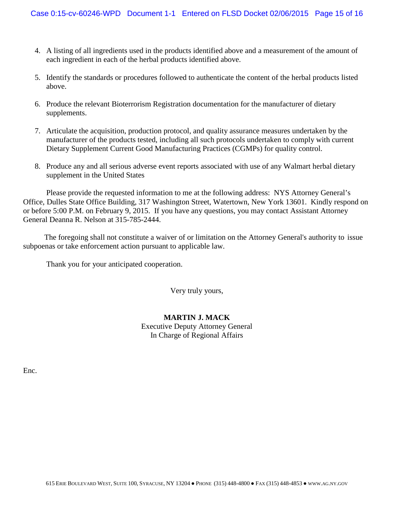- 4. A listing of all ingredients used in the products identified above and a measurement of the amount of each ingredient in each of the herbal products identified above.
- 5. Identify the standards or procedures followed to authenticate the content of the herbal products listed above.
- 6. Produce the relevant Bioterrorism Registration documentation for the manufacturer of dietary supplements.
- 7. Articulate the acquisition, production protocol, and quality assurance measures undertaken by the manufacturer of the products tested, including all such protocols undertaken to comply with current Dietary Supplement Current Good Manufacturing Practices (CGMPs) for quality control.
- 8. Produce any and all serious adverse event reports associated with use of any Walmart herbal dietary supplement in the United States

Please provide the requested information to me at the following address: NYS Attorney General's Office, Dulles State Office Building, 317 Washington Street, Watertown, New York 13601. Kindly respond on or before 5:00 P.M. on February 9, 2015. If you have any questions, you may contact Assistant Attorney General Deanna R. Nelson at 315-785-2444.

 The foregoing shall not constitute a waiver of or limitation on the Attorney General's authority to issue subpoenas or take enforcement action pursuant to applicable law.

Thank you for your anticipated cooperation.

Very truly yours,

# **MARTIN J. MACK**

Executive Deputy Attorney General In Charge of Regional Affairs

Enc.